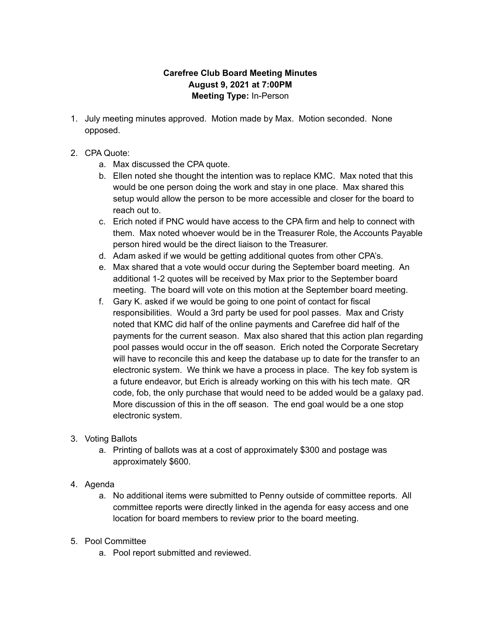## **Carefree Club Board Meeting Minutes August 9, 2021 at 7:00PM Meeting Type:** In-Person

- 1. July meeting minutes approved. Motion made by Max. Motion seconded. None opposed.
- 2. CPA Quote:
	- a. Max discussed the CPA quote.
	- b. Ellen noted she thought the intention was to replace KMC. Max noted that this would be one person doing the work and stay in one place. Max shared this setup would allow the person to be more accessible and closer for the board to reach out to.
	- c. Erich noted if PNC would have access to the CPA firm and help to connect with them. Max noted whoever would be in the Treasurer Role, the Accounts Payable person hired would be the direct liaison to the Treasurer.
	- d. Adam asked if we would be getting additional quotes from other CPA's.
	- e. Max shared that a vote would occur during the September board meeting. An additional 1-2 quotes will be received by Max prior to the September board meeting. The board will vote on this motion at the September board meeting.
	- f. Gary K. asked if we would be going to one point of contact for fiscal responsibilities. Would a 3rd party be used for pool passes. Max and Cristy noted that KMC did half of the online payments and Carefree did half of the payments for the current season. Max also shared that this action plan regarding pool passes would occur in the off season. Erich noted the Corporate Secretary will have to reconcile this and keep the database up to date for the transfer to an electronic system. We think we have a process in place. The key fob system is a future endeavor, but Erich is already working on this with his tech mate. QR code, fob, the only purchase that would need to be added would be a galaxy pad. More discussion of this in the off season. The end goal would be a one stop electronic system.
- 3. Voting Ballots
	- a. Printing of ballots was at a cost of approximately \$300 and postage was approximately \$600.
- 4. Agenda
	- a. No additional items were submitted to Penny outside of committee reports. All committee reports were directly linked in the agenda for easy access and one location for board members to review prior to the board meeting.
- 5. Pool Committee
	- a. Pool report submitted and reviewed.